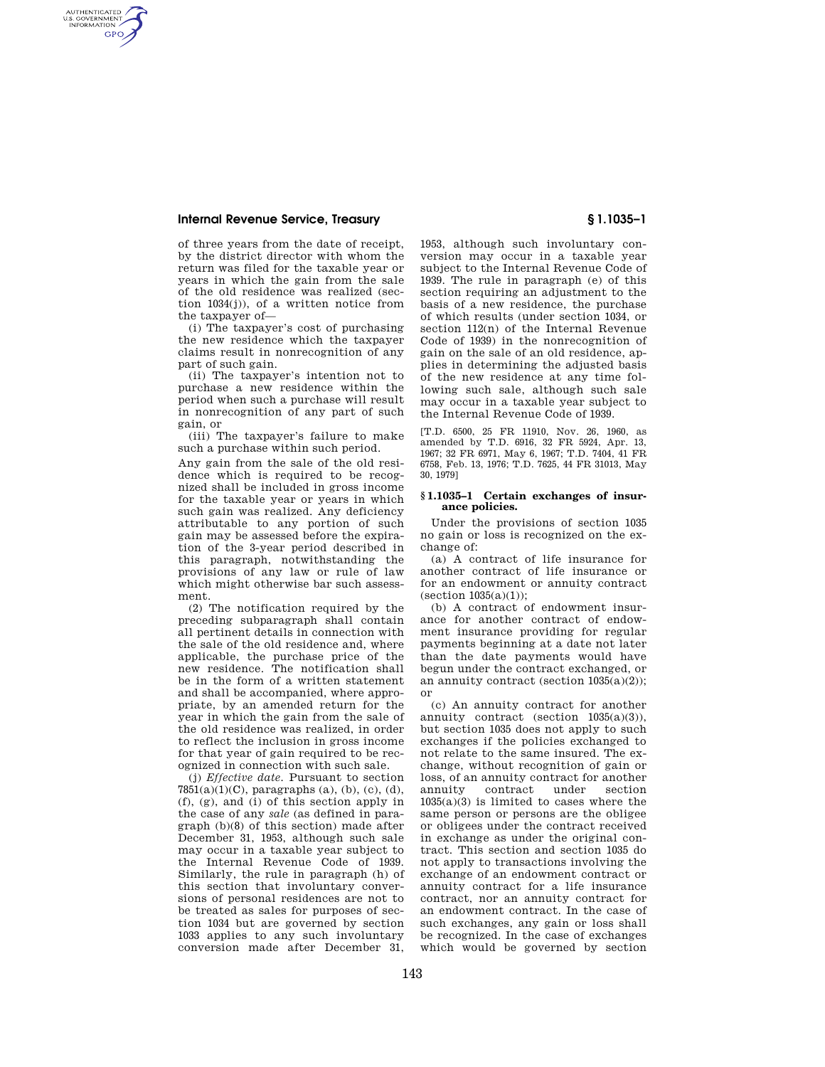## **Internal Revenue Service, Treasury § 1.1035–1**

AUTHENTICATED<br>U.S. GOVERNMENT<br>INFORMATION **GPO** 

> of three years from the date of receipt, by the district director with whom the return was filed for the taxable year or years in which the gain from the sale of the old residence was realized (section 1034(j)), of a written notice from the taxpayer of—

> (i) The taxpayer's cost of purchasing the new residence which the taxpayer claims result in nonrecognition of any part of such gain.

> (ii) The taxpayer's intention not to purchase a new residence within the period when such a purchase will result in nonrecognition of any part of such gain, or

> (iii) The taxpayer's failure to make such a purchase within such period.

Any gain from the sale of the old residence which is required to be recognized shall be included in gross income for the taxable year or years in which such gain was realized. Any deficiency attributable to any portion of such gain may be assessed before the expiration of the 3-year period described in this paragraph, notwithstanding the provisions of any law or rule of law which might otherwise bar such assessment.

(2) The notification required by the preceding subparagraph shall contain all pertinent details in connection with the sale of the old residence and, where applicable, the purchase price of the new residence. The notification shall be in the form of a written statement and shall be accompanied, where appropriate, by an amended return for the year in which the gain from the sale of the old residence was realized, in order to reflect the inclusion in gross income for that year of gain required to be recognized in connection with such sale.

(j) *Effective date.* Pursuant to section  $7851(a)(1)(C)$ , paragraphs (a), (b), (c), (d), (f), (g), and (i) of this section apply in the case of any *sale* (as defined in paragraph (b)(8) of this section) made after December 31, 1953, although such sale may occur in a taxable year subject to the Internal Revenue Code of 1939. Similarly, the rule in paragraph (h) of this section that involuntary conversions of personal residences are not to be treated as sales for purposes of section 1034 but are governed by section 1033 applies to any such involuntary conversion made after December 31,

1953, although such involuntary conversion may occur in a taxable year subject to the Internal Revenue Code of 1939. The rule in paragraph (e) of this section requiring an adjustment to the basis of a new residence, the purchase of which results (under section 1034, or section 112(n) of the Internal Revenue Code of 1939) in the nonrecognition of gain on the sale of an old residence, applies in determining the adjusted basis of the new residence at any time following such sale, although such sale may occur in a taxable year subject to the Internal Revenue Code of 1939.

[T.D. 6500, 25 FR 11910, Nov. 26, 1960, as amended by T.D. 6916, 32 FR 5924, Apr. 13, 1967; 32 FR 6971, May 6, 1967; T.D. 7404, 41 FR 6758, Feb. 13, 1976; T.D. 7625, 44 FR 31013, May 30, 1979]

### **§ 1.1035–1 Certain exchanges of insurance policies.**

Under the provisions of section 1035 no gain or loss is recognized on the exchange of:

(a) A contract of life insurance for another contract of life insurance or for an endowment or annuity contract  $(section 1035(a)(1))$ ;

(b) A contract of endowment insurance for another contract of endowment insurance providing for regular payments beginning at a date not later than the date payments would have begun under the contract exchanged, or an annuity contract (section 1035(a)(2)); or

(c) An annuity contract for another annuity contract (section 1035(a)(3)), but section 1035 does not apply to such exchanges if the policies exchanged to not relate to the same insured. The exchange, without recognition of gain or loss, of an annuity contract for another annuity contract under section  $1035(a)(3)$  is limited to cases where the same person or persons are the obligee or obligees under the contract received in exchange as under the original contract. This section and section 1035 do not apply to transactions involving the exchange of an endowment contract or annuity contract for a life insurance contract, nor an annuity contract for an endowment contract. In the case of such exchanges, any gain or loss shall be recognized. In the case of exchanges which would be governed by section